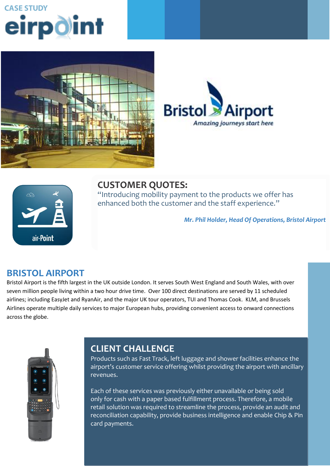# **CASE STUDY** eirpoint







#### **CUSTOMER QUOTES:** "Introducing mobility payment to the products we offer has enhanced both the customer and the staff experience."

*Mr. Phil Holder, Head Of Operations, Bristol Airport*

#### **BRISTOL AIRPORT**

**CLIENT CHALLENGE** Bristol Airport is the fifth largest in the UK outside London. It serves South West England and South Wales, with over seven million people living within a two hour drive time. Over 100 direct destinations are served by 11 scheduled airlines; including EasyJet and RyanAir, and the major UK tour operators, TUI and Thomas Cook. KLM, and Brussels service and support providing that would have the convenient access to onward connections. Airlines operate multiple daily services to major European hubs, providing convenient access to onward connections<br>assess the slobe across the globe.



#### **ORDERING AND STOCK CONTROL. STOCK ORDERING IS THE IMPORTANT LINK THAT EXISTS IS THE IMPORTANT LINK THAT EXISTS** between the retailer and Musgrave; it is the initiation of a transaction within

Products such as Fast Track, left luggage and shower facilities enhance the airport's customer service offering whilst providing the airport with ancillary product ordering decision and executing that decision using a handheld that decision using a handheld that decision revenues.

They wished to mobilise two key aspects of in-store retail operations, stock

Each of these services was previously either unavailable or being sold only for cash with a paper based fulfillment process. Therefore, a mobile retail solution was required to streamline the process, provide an audit and reconciliation capability, provide business intelligence and enable Chip & Pin card payments.